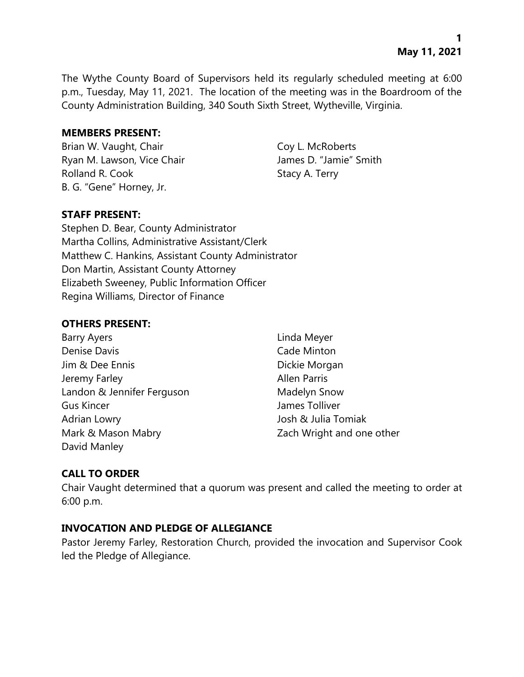The Wythe County Board of Supervisors held its regularly scheduled meeting at 6:00 p.m., Tuesday, May 11, 2021. The location of the meeting was in the Boardroom of the County Administration Building, 340 South Sixth Street, Wytheville, Virginia.

#### **MEMBERS PRESENT:**

Brian W. Vaught, Chair Coy L. McRoberts Ryan M. Lawson, Vice Chair **James D. "Jamie"** Smith Rolland R. Cook Stacy A. Terry B. G. "Gene" Horney, Jr.

# **STAFF PRESENT:**

Stephen D. Bear, County Administrator Martha Collins, Administrative Assistant/Clerk Matthew C. Hankins, Assistant County Administrator Don Martin, Assistant County Attorney Elizabeth Sweeney, Public Information Officer Regina Williams, Director of Finance

# **OTHERS PRESENT:**

| Barry Ayers                |  |
|----------------------------|--|
| <b>Denise Davis</b>        |  |
| Jim & Dee Ennis            |  |
| Jeremy Farley              |  |
| Landon & Jennifer Ferguson |  |
| <b>Gus Kincer</b>          |  |
| Adrian Lowry               |  |
| Mark & Mason Mabry         |  |
| David Manley               |  |

Linda Meyer Cade Minton Dickie Morgan Allen Parris Madelyn Snow James Tolliver Josh & Julia Tomiak Zach Wright and one other

# **CALL TO ORDER**

Chair Vaught determined that a quorum was present and called the meeting to order at 6:00 p.m.

# **INVOCATION AND PLEDGE OF ALLEGIANCE**

Pastor Jeremy Farley, Restoration Church, provided the invocation and Supervisor Cook led the Pledge of Allegiance.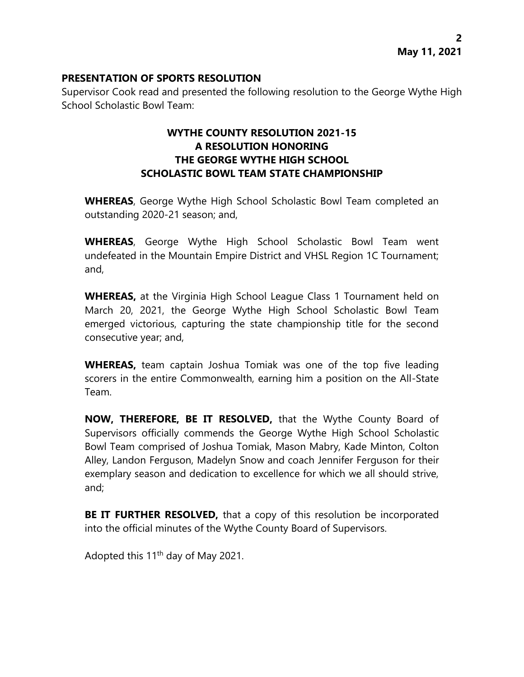### **PRESENTATION OF SPORTS RESOLUTION**

Supervisor Cook read and presented the following resolution to the George Wythe High School Scholastic Bowl Team:

# **WYTHE COUNTY RESOLUTION 2021-15 A RESOLUTION HONORING THE GEORGE WYTHE HIGH SCHOOL SCHOLASTIC BOWL TEAM STATE CHAMPIONSHIP**

**WHEREAS**, George Wythe High School Scholastic Bowl Team completed an outstanding 2020-21 season; and,

**WHEREAS**, George Wythe High School Scholastic Bowl Team went undefeated in the Mountain Empire District and VHSL Region 1C Tournament; and,

**WHEREAS,** at the Virginia High School League Class 1 Tournament held on March 20, 2021, the George Wythe High School Scholastic Bowl Team emerged victorious, capturing the state championship title for the second consecutive year; and,

**WHEREAS,** team captain Joshua Tomiak was one of the top five leading scorers in the entire Commonwealth, earning him a position on the All-State Team.

**NOW, THEREFORE, BE IT RESOLVED,** that the Wythe County Board of Supervisors officially commends the George Wythe High School Scholastic Bowl Team comprised of Joshua Tomiak, Mason Mabry, Kade Minton, Colton Alley, Landon Ferguson, Madelyn Snow and coach Jennifer Ferguson for their exemplary season and dedication to excellence for which we all should strive, and;

**BE IT FURTHER RESOLVED,** that a copy of this resolution be incorporated into the official minutes of the Wythe County Board of Supervisors.

Adopted this 11th day of May 2021.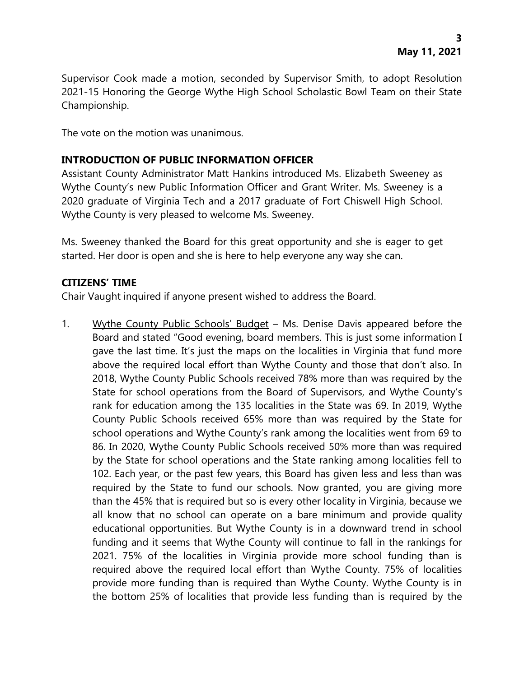Supervisor Cook made a motion, seconded by Supervisor Smith, to adopt Resolution 2021-15 Honoring the George Wythe High School Scholastic Bowl Team on their State Championship.

The vote on the motion was unanimous.

# **INTRODUCTION OF PUBLIC INFORMATION OFFICER**

Assistant County Administrator Matt Hankins introduced Ms. Elizabeth Sweeney as Wythe County's new Public Information Officer and Grant Writer. Ms. Sweeney is a 2020 graduate of Virginia Tech and a 2017 graduate of Fort Chiswell High School. Wythe County is very pleased to welcome Ms. Sweeney.

Ms. Sweeney thanked the Board for this great opportunity and she is eager to get started. Her door is open and she is here to help everyone any way she can.

#### **CITIZENS' TIME**

Chair Vaught inquired if anyone present wished to address the Board.

1. Wythe County Public Schools' Budget – Ms. Denise Davis appeared before the Board and stated "Good evening, board members. This is just some information I gave the last time. It's just the maps on the localities in Virginia that fund more above the required local effort than Wythe County and those that don't also. In 2018, Wythe County Public Schools received 78% more than was required by the State for school operations from the Board of Supervisors, and Wythe County's rank for education among the 135 localities in the State was 69. In 2019, Wythe County Public Schools received 65% more than was required by the State for school operations and Wythe County's rank among the localities went from 69 to 86. In 2020, Wythe County Public Schools received 50% more than was required by the State for school operations and the State ranking among localities fell to 102. Each year, or the past few years, this Board has given less and less than was required by the State to fund our schools. Now granted, you are giving more than the 45% that is required but so is every other locality in Virginia, because we all know that no school can operate on a bare minimum and provide quality educational opportunities. But Wythe County is in a downward trend in school funding and it seems that Wythe County will continue to fall in the rankings for 2021. 75% of the localities in Virginia provide more school funding than is required above the required local effort than Wythe County. 75% of localities provide more funding than is required than Wythe County. Wythe County is in the bottom 25% of localities that provide less funding than is required by the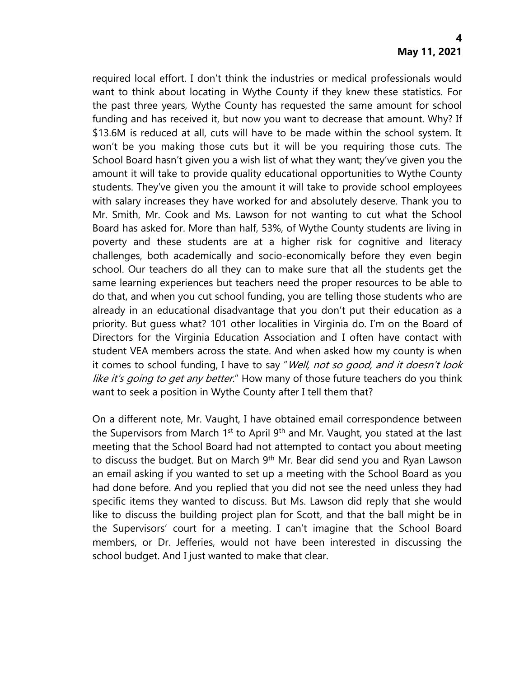required local effort. I don't think the industries or medical professionals would want to think about locating in Wythe County if they knew these statistics. For the past three years, Wythe County has requested the same amount for school funding and has received it, but now you want to decrease that amount. Why? If \$13.6M is reduced at all, cuts will have to be made within the school system. It won't be you making those cuts but it will be you requiring those cuts. The School Board hasn't given you a wish list of what they want; they've given you the amount it will take to provide quality educational opportunities to Wythe County students. They've given you the amount it will take to provide school employees with salary increases they have worked for and absolutely deserve. Thank you to Mr. Smith, Mr. Cook and Ms. Lawson for not wanting to cut what the School Board has asked for. More than half, 53%, of Wythe County students are living in poverty and these students are at a higher risk for cognitive and literacy challenges, both academically and socio-economically before they even begin school. Our teachers do all they can to make sure that all the students get the same learning experiences but teachers need the proper resources to be able to do that, and when you cut school funding, you are telling those students who are already in an educational disadvantage that you don't put their education as a priority. But guess what? 101 other localities in Virginia do. I'm on the Board of Directors for the Virginia Education Association and I often have contact with student VEA members across the state. And when asked how my county is when it comes to school funding, I have to say "Well, not so good, and it doesn't look like it's going to get any better." How many of those future teachers do you think want to seek a position in Wythe County after I tell them that?

On a different note, Mr. Vaught, I have obtained email correspondence between the Supervisors from March  $1<sup>st</sup>$  to April 9<sup>th</sup> and Mr. Vaught, you stated at the last meeting that the School Board had not attempted to contact you about meeting to discuss the budget. But on March 9<sup>th</sup> Mr. Bear did send you and Ryan Lawson an email asking if you wanted to set up a meeting with the School Board as you had done before. And you replied that you did not see the need unless they had specific items they wanted to discuss. But Ms. Lawson did reply that she would like to discuss the building project plan for Scott, and that the ball might be in the Supervisors' court for a meeting. I can't imagine that the School Board members, or Dr. Jefferies, would not have been interested in discussing the school budget. And I just wanted to make that clear.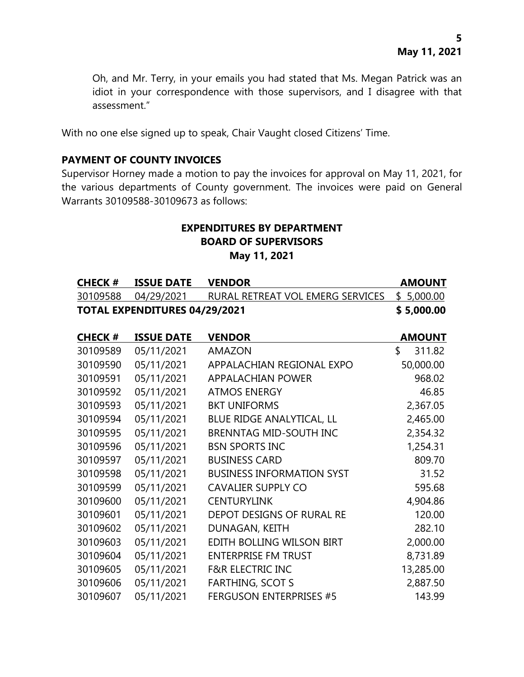Oh, and Mr. Terry, in your emails you had stated that Ms. Megan Patrick was an idiot in your correspondence with those supervisors, and I disagree with that assessment."

With no one else signed up to speak, Chair Vaught closed Citizens' Time.

### **PAYMENT OF COUNTY INVOICES**

Supervisor Horney made a motion to pay the invoices for approval on May 11, 2021, for the various departments of County government. The invoices were paid on General Warrants 30109588-30109673 as follows:

# **EXPENDITURES BY DEPARTMENT BOARD OF SUPERVISORS May 11, 2021**

| <b>CHECK #</b> | <b>ISSUE DATE</b>                    | <b>VENDOR</b>                               | <b>AMOUNT</b> |
|----------------|--------------------------------------|---------------------------------------------|---------------|
|                | 30109588 04/29/2021                  | RURAL RETREAT VOL EMERG SERVICES \$5,000.00 |               |
|                | <b>TOTAL EXPENDITURES 04/29/2021</b> |                                             | \$5,000.00    |

| <b>CHECK#</b> | <b>ISSUE DATE</b> | <b>VENDOR</b>                    | <b>AMOUNT</b> |
|---------------|-------------------|----------------------------------|---------------|
| 30109589      | 05/11/2021        | <b>AMAZON</b>                    | \$<br>311.82  |
| 30109590      | 05/11/2021        | APPALACHIAN REGIONAL EXPO        | 50,000.00     |
| 30109591      | 05/11/2021        | <b>APPALACHIAN POWER</b>         | 968.02        |
| 30109592      | 05/11/2021        | <b>ATMOS ENERGY</b>              | 46.85         |
| 30109593      | 05/11/2021        | <b>BKT UNIFORMS</b>              | 2,367.05      |
| 30109594      | 05/11/2021        | BLUE RIDGE ANALYTICAL, LL        | 2,465.00      |
| 30109595      | 05/11/2021        | <b>BRENNTAG MID-SOUTH INC</b>    | 2,354.32      |
| 30109596      | 05/11/2021        | <b>BSN SPORTS INC</b>            | 1,254.31      |
| 30109597      | 05/11/2021        | <b>BUSINESS CARD</b>             | 809.70        |
| 30109598      | 05/11/2021        | <b>BUSINESS INFORMATION SYST</b> | 31.52         |
| 30109599      | 05/11/2021        | <b>CAVALIER SUPPLY CO</b>        | 595.68        |
| 30109600      | 05/11/2021        | <b>CENTURYLINK</b>               | 4,904.86      |
| 30109601      | 05/11/2021        | DEPOT DESIGNS OF RURAL RE        | 120.00        |
| 30109602      | 05/11/2021        | DUNAGAN, KEITH                   | 282.10        |
| 30109603      | 05/11/2021        | EDITH BOLLING WILSON BIRT        | 2,000.00      |
| 30109604      | 05/11/2021        | <b>ENTERPRISE FM TRUST</b>       | 8,731.89      |
| 30109605      | 05/11/2021        | <b>F&amp;R ELECTRIC INC</b>      | 13,285.00     |
| 30109606      | 05/11/2021        | <b>FARTHING, SCOT S</b>          | 2,887.50      |
| 30109607      | 05/11/2021        | <b>FERGUSON ENTERPRISES #5</b>   | 143.99        |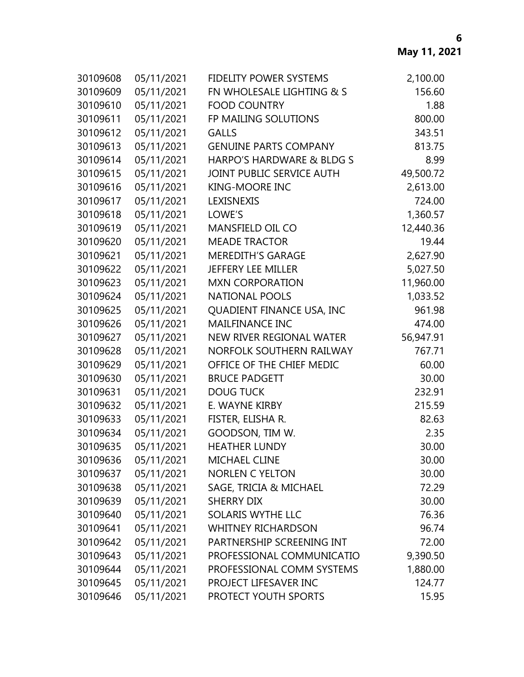| 30109608 | 05/11/2021 | FIDELITY POWER SYSTEMS       | 2,100.00  |
|----------|------------|------------------------------|-----------|
| 30109609 | 05/11/2021 | FN WHOLESALE LIGHTING & S    | 156.60    |
| 30109610 | 05/11/2021 | <b>FOOD COUNTRY</b>          | 1.88      |
| 30109611 | 05/11/2021 | FP MAILING SOLUTIONS         | 800.00    |
| 30109612 | 05/11/2021 | <b>GALLS</b>                 | 343.51    |
| 30109613 | 05/11/2021 | <b>GENUINE PARTS COMPANY</b> | 813.75    |
| 30109614 | 05/11/2021 | HARPO'S HARDWARE & BLDG S    | 8.99      |
| 30109615 | 05/11/2021 | JOINT PUBLIC SERVICE AUTH    | 49,500.72 |
| 30109616 | 05/11/2021 | <b>KING-MOORE INC</b>        | 2,613.00  |
| 30109617 | 05/11/2021 | LEXISNEXIS                   | 724.00    |
| 30109618 | 05/11/2021 | LOWE'S                       | 1,360.57  |
| 30109619 | 05/11/2021 | MANSFIELD OIL CO             | 12,440.36 |
| 30109620 | 05/11/2021 | <b>MEADE TRACTOR</b>         | 19.44     |
| 30109621 | 05/11/2021 | <b>MEREDITH'S GARAGE</b>     | 2,627.90  |
| 30109622 | 05/11/2021 | <b>JEFFERY LEE MILLER</b>    | 5,027.50  |
| 30109623 | 05/11/2021 | <b>MXN CORPORATION</b>       | 11,960.00 |
| 30109624 | 05/11/2021 | <b>NATIONAL POOLS</b>        | 1,033.52  |
| 30109625 | 05/11/2021 | QUADIENT FINANCE USA, INC    | 961.98    |
| 30109626 | 05/11/2021 | <b>MAILFINANCE INC</b>       | 474.00    |
| 30109627 | 05/11/2021 | NEW RIVER REGIONAL WATER     | 56,947.91 |
| 30109628 | 05/11/2021 | NORFOLK SOUTHERN RAILWAY     | 767.71    |
| 30109629 | 05/11/2021 | OFFICE OF THE CHIEF MEDIC    | 60.00     |
| 30109630 | 05/11/2021 | <b>BRUCE PADGETT</b>         | 30.00     |
| 30109631 | 05/11/2021 | <b>DOUG TUCK</b>             | 232.91    |
| 30109632 | 05/11/2021 | E. WAYNE KIRBY               | 215.59    |
| 30109633 | 05/11/2021 | FISTER, ELISHA R.            | 82.63     |
| 30109634 | 05/11/2021 | GOODSON, TIM W.              | 2.35      |
| 30109635 | 05/11/2021 | <b>HEATHER LUNDY</b>         | 30.00     |
| 30109636 | 05/11/2021 | <b>MICHAEL CLINE</b>         | 30.00     |
| 30109637 | 05/11/2021 | <b>NORLEN C YELTON</b>       | 30.00     |
| 30109638 | 05/11/2021 | SAGE, TRICIA & MICHAEL       | 72.29     |
| 30109639 | 05/11/2021 | <b>SHERRY DIX</b>            | 30.00     |
| 30109640 | 05/11/2021 | SOLARIS WYTHE LLC            | 76.36     |
| 30109641 | 05/11/2021 | <b>WHITNEY RICHARDSON</b>    | 96.74     |
| 30109642 | 05/11/2021 | PARTNERSHIP SCREENING INT    | 72.00     |
| 30109643 | 05/11/2021 | PROFESSIONAL COMMUNICATIO    | 9,390.50  |
| 30109644 | 05/11/2021 | PROFESSIONAL COMM SYSTEMS    | 1,880.00  |
| 30109645 | 05/11/2021 | PROJECT LIFESAVER INC        | 124.77    |
| 30109646 | 05/11/2021 | PROTECT YOUTH SPORTS         | 15.95     |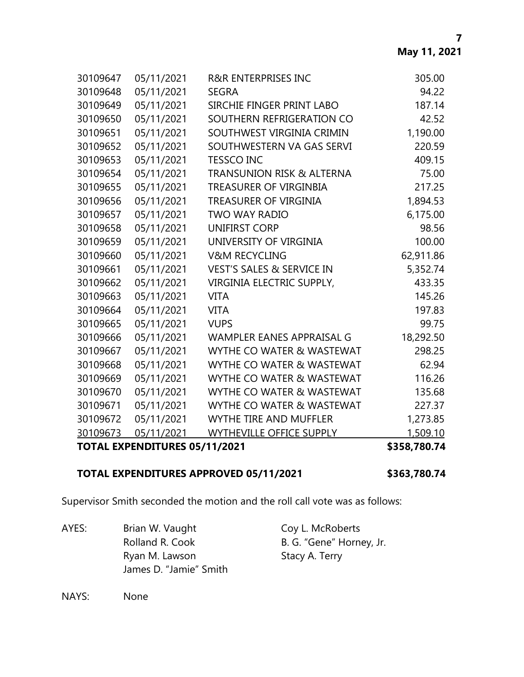|          | <b>TOTAL EXPENDITURES 05/11/2021</b> |                                      | \$358,780.74 |
|----------|--------------------------------------|--------------------------------------|--------------|
| 30109673 | 05/11/2021                           | <b>WYTHEVILLE OFFICE SUPPLY</b>      | 1,509.10     |
| 30109672 | 05/11/2021                           | WYTHE TIRE AND MUFFLER               | 1,273.85     |
| 30109671 | 05/11/2021                           | WYTHE CO WATER & WASTEWAT            | 227.37       |
| 30109670 | 05/11/2021                           | WYTHE CO WATER & WASTEWAT            | 135.68       |
| 30109669 | 05/11/2021                           | WYTHE CO WATER & WASTEWAT            | 116.26       |
| 30109668 | 05/11/2021                           | WYTHE CO WATER & WASTEWAT            | 62.94        |
| 30109667 | 05/11/2021                           | WYTHE CO WATER & WASTEWAT            | 298.25       |
| 30109666 | 05/11/2021                           | WAMPLER EANES APPRAISAL G            | 18,292.50    |
| 30109665 | 05/11/2021                           | <b>VUPS</b>                          | 99.75        |
| 30109664 | 05/11/2021                           | <b>VITA</b>                          | 197.83       |
| 30109663 | 05/11/2021                           | <b>VITA</b>                          | 145.26       |
| 30109662 | 05/11/2021                           | VIRGINIA ELECTRIC SUPPLY,            | 433.35       |
| 30109661 | 05/11/2021                           | <b>VEST'S SALES &amp; SERVICE IN</b> | 5,352.74     |
| 30109660 | 05/11/2021                           | <b>V&amp;M RECYCLING</b>             | 62,911.86    |
| 30109659 | 05/11/2021                           | UNIVERSITY OF VIRGINIA               | 100.00       |
| 30109658 | 05/11/2021                           | <b>UNIFIRST CORP</b>                 | 98.56        |
| 30109657 | 05/11/2021                           | <b>TWO WAY RADIO</b>                 | 6,175.00     |
| 30109656 | 05/11/2021                           | TREASURER OF VIRGINIA                | 1,894.53     |
| 30109655 | 05/11/2021                           | TREASURER OF VIRGINBIA               | 217.25       |
| 30109654 | 05/11/2021                           | <b>TRANSUNION RISK &amp; ALTERNA</b> | 75.00        |
| 30109653 | 05/11/2021                           | <b>TESSCO INC</b>                    | 409.15       |
| 30109652 | 05/11/2021                           | SOUTHWESTERN VA GAS SERVI            | 220.59       |
| 30109651 | 05/11/2021                           | SOUTHWEST VIRGINIA CRIMIN            | 1,190.00     |
| 30109650 | 05/11/2021                           | SOUTHERN REFRIGERATION CO            | 42.52        |
| 30109649 | 05/11/2021                           | SIRCHIE FINGER PRINT LABO            | 187.14       |
| 30109648 | 05/11/2021                           | <b>SEGRA</b>                         | 94.22        |
| 30109647 | 05/11/2021                           | <b>R&amp;R ENTERPRISES INC</b>       | 305.00       |

# **TOTAL EXPENDITURES APPROVED 05/11/2021 \$363,780.74**

Supervisor Smith seconded the motion and the roll call vote was as follows:

AYES: Brian W. Vaught Coy L. McRoberts Rolland R. Cook B. G. "Gene" Horney, Jr. Ryan M. Lawson Stacy A. Terry James D. "Jamie" Smith

NAYS: None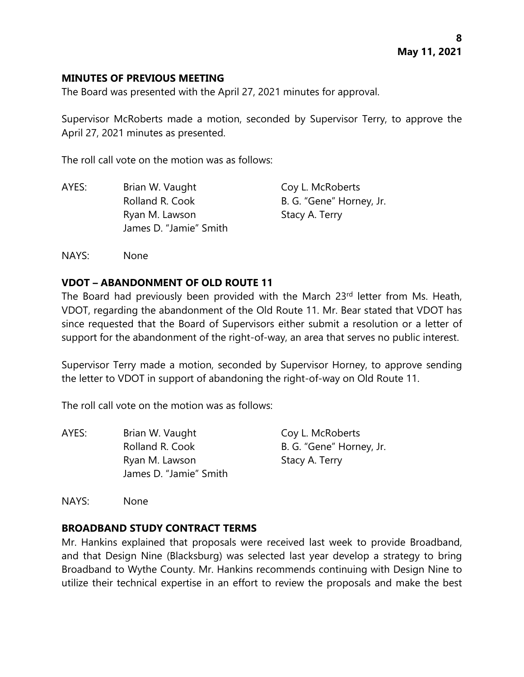#### **MINUTES OF PREVIOUS MEETING**

The Board was presented with the April 27, 2021 minutes for approval.

Supervisor McRoberts made a motion, seconded by Supervisor Terry, to approve the April 27, 2021 minutes as presented.

The roll call vote on the motion was as follows:

| AYES: | Brian W. Vaught        | Coy L. McRoberts         |
|-------|------------------------|--------------------------|
|       | Rolland R. Cook        | B. G. "Gene" Horney, Jr. |
|       | Ryan M. Lawson         | Stacy A. Terry           |
|       | James D. "Jamie" Smith |                          |

NAYS: None

#### **VDOT – ABANDONMENT OF OLD ROUTE 11**

The Board had previously been provided with the March 23rd letter from Ms. Heath, VDOT, regarding the abandonment of the Old Route 11. Mr. Bear stated that VDOT has since requested that the Board of Supervisors either submit a resolution or a letter of support for the abandonment of the right-of-way, an area that serves no public interest.

Supervisor Terry made a motion, seconded by Supervisor Horney, to approve sending the letter to VDOT in support of abandoning the right-of-way on Old Route 11.

The roll call vote on the motion was as follows:

| AYES: | Brian W. Vaught        | Coy L. McRoberts         |
|-------|------------------------|--------------------------|
|       | Rolland R. Cook        | B. G. "Gene" Horney, Jr. |
|       | Ryan M. Lawson         | Stacy A. Terry           |
|       | James D. "Jamie" Smith |                          |

NAYS: None

# **BROADBAND STUDY CONTRACT TERMS**

Mr. Hankins explained that proposals were received last week to provide Broadband, and that Design Nine (Blacksburg) was selected last year develop a strategy to bring Broadband to Wythe County. Mr. Hankins recommends continuing with Design Nine to utilize their technical expertise in an effort to review the proposals and make the best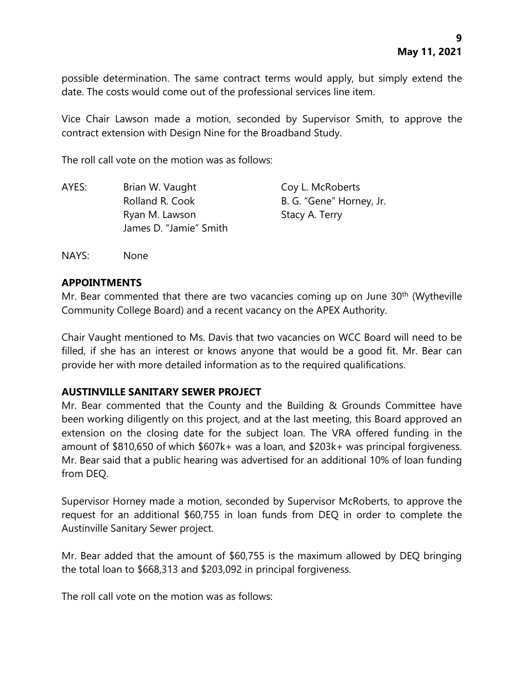possible determination. The same contract terms would apply, but simply extend the date. The costs would come out of the professional services line item.

Vice Chair Lawson made a motion, seconded by Supervisor Smith, to approve the contract extension with Design Nine for the Broadband Study.

The roll call vote on the motion was as follows:

| AYES: | Brian W. Vaught                          | Coy L. McRoberts         |
|-------|------------------------------------------|--------------------------|
|       | Rolland R. Cook                          | B. G. "Gene" Horney, Jr. |
|       | Ryan M. Lawson<br>James D. "Jamie" Smith | Stacy A. Terry           |
|       |                                          |                          |

NAYS: None

#### **APPOINTMENTS**

Mr. Bear commented that there are two vacancies coming up on June 30<sup>th</sup> (Wytheville Community College Board) and a recent vacancy on the APEX Authority.

Chair Vaught mentioned to Ms. Davis that two vacancies on WCC Board will need to be filled, if she has an interest or knows anyone that would be a good fit. Mr. Bear can provide her with more detailed information as to the required qualifications.

# **AUSTINVILLE SANITARY SEWER PROJECT**

Mr. Bear commented that the County and the Building & Grounds Committee have been working diligently on this project, and at the last meeting, this Board approved an extension on the closing date for the subject loan. The VRA offered funding in the amount of \$810,650 of which \$607k+ was a loan, and \$203k+ was principal forgiveness. Mr. Bear said that a public hearing was advertised for an additional 10% of loan funding from DEQ.

Supervisor Horney made a motion, seconded by Supervisor McRoberts, to approve the request for an additional \$60,755 in loan funds from DEQ in order to complete the Austinville Sanitary Sewer project.

Mr. Bear added that the amount of \$60,755 is the maximum allowed by DEQ bringing the total loan to \$668,313 and \$203,092 in principal forgiveness.

The roll call vote on the motion was as follows: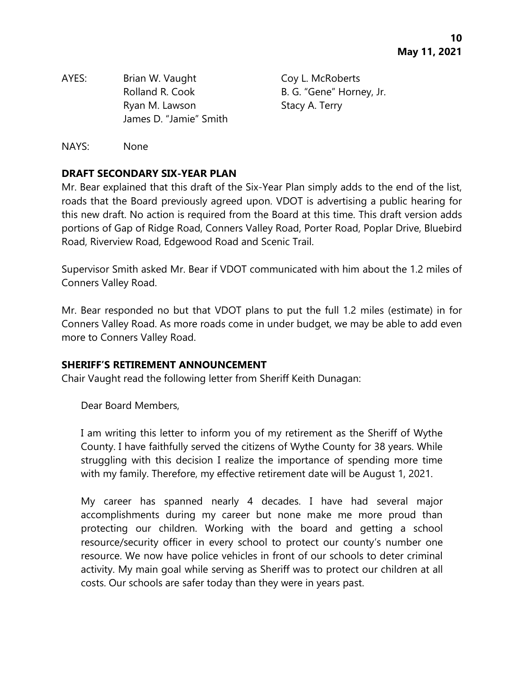AYES: Brian W. Vaught Coy L. McRoberts Rolland R. Cook B. G. "Gene" Horney, Jr. Ryan M. Lawson Stacy A. Terry James D. "Jamie" Smith

NAYS: None

### **DRAFT SECONDARY SIX-YEAR PLAN**

Mr. Bear explained that this draft of the Six-Year Plan simply adds to the end of the list, roads that the Board previously agreed upon. VDOT is advertising a public hearing for this new draft. No action is required from the Board at this time. This draft version adds portions of Gap of Ridge Road, Conners Valley Road, Porter Road, Poplar Drive, Bluebird Road, Riverview Road, Edgewood Road and Scenic Trail.

Supervisor Smith asked Mr. Bear if VDOT communicated with him about the 1.2 miles of Conners Valley Road.

Mr. Bear responded no but that VDOT plans to put the full 1.2 miles (estimate) in for Conners Valley Road. As more roads come in under budget, we may be able to add even more to Conners Valley Road.

#### **SHERIFF'S RETIREMENT ANNOUNCEMENT**

Chair Vaught read the following letter from Sheriff Keith Dunagan:

Dear Board Members,

I am writing this letter to inform you of my retirement as the Sheriff of Wythe County. I have faithfully served the citizens of Wythe County for 38 years. While struggling with this decision I realize the importance of spending more time with my family. Therefore, my effective retirement date will be August 1, 2021.

My career has spanned nearly 4 decades. I have had several major accomplishments during my career but none make me more proud than protecting our children. Working with the board and getting a school resource/security officer in every school to protect our county's number one resource. We now have police vehicles in front of our schools to deter criminal activity. My main goal while serving as Sheriff was to protect our children at all costs. Our schools are safer today than they were in years past.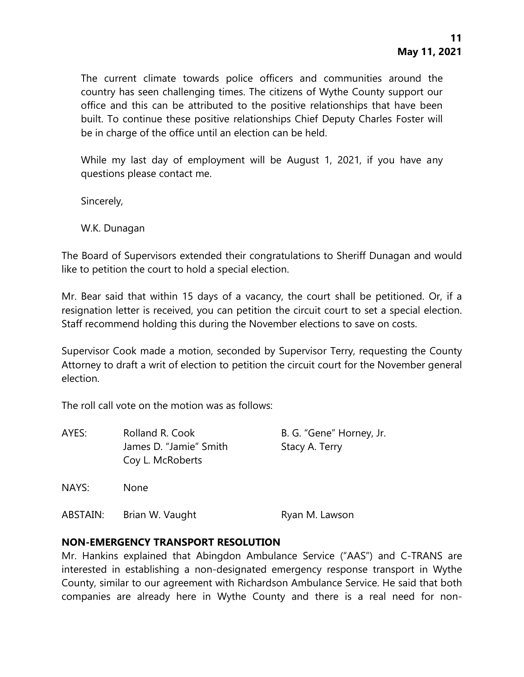The current climate towards police officers and communities around the country has seen challenging times. The citizens of Wythe County support our office and this can be attributed to the positive relationships that have been built. To continue these positive relationships Chief Deputy Charles Foster will be in charge of the office until an election can be held.

While my last day of employment will be August 1, 2021, if you have any questions please contact me.

Sincerely,

W.K. Dunagan

The Board of Supervisors extended their congratulations to Sheriff Dunagan and would like to petition the court to hold a special election.

Mr. Bear said that within 15 days of a vacancy, the court shall be petitioned. Or, if a resignation letter is received, you can petition the circuit court to set a special election. Staff recommend holding this during the November elections to save on costs.

Supervisor Cook made a motion, seconded by Supervisor Terry, requesting the County Attorney to draft a writ of election to petition the circuit court for the November general election.

The roll call vote on the motion was as follows:

| AYES:    | Rolland R. Cook        | B. G. "Gene" Horney, Jr. |
|----------|------------------------|--------------------------|
|          | James D. "Jamie" Smith | Stacy A. Terry           |
|          | Coy L. McRoberts       |                          |
| NAYS:    | <b>None</b>            |                          |
| ABSTAIN: | Brian W. Vaught        | Ryan M. Lawson           |

# **NON-EMERGENCY TRANSPORT RESOLUTION**

Mr. Hankins explained that Abingdon Ambulance Service ("AAS") and C-TRANS are interested in establishing a non-designated emergency response transport in Wythe County, similar to our agreement with Richardson Ambulance Service. He said that both companies are already here in Wythe County and there is a real need for non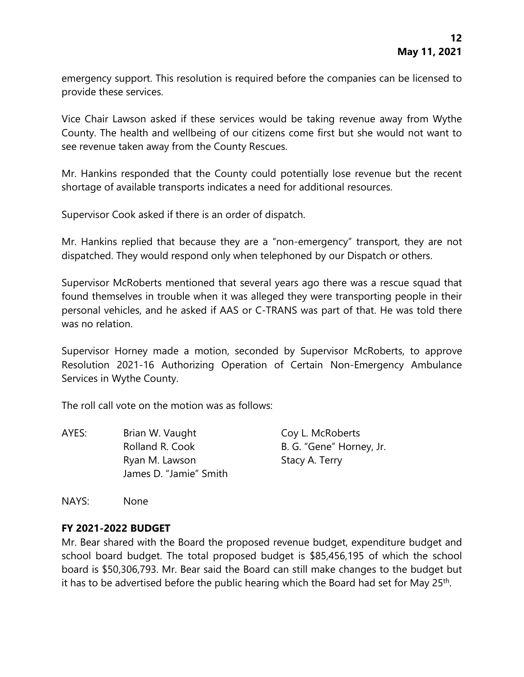emergency support. This resolution is required before the companies can be licensed to provide these services.

Vice Chair Lawson asked if these services would be taking revenue away from Wythe County. The health and wellbeing of our citizens come first but she would not want to see revenue taken away from the County Rescues.

Mr. Hankins responded that the County could potentially lose revenue but the recent shortage of available transports indicates a need for additional resources.

Supervisor Cook asked if there is an order of dispatch.

Mr. Hankins replied that because they are a "non-emergency" transport, they are not dispatched. They would respond only when telephoned by our Dispatch or others.

Supervisor McRoberts mentioned that several years ago there was a rescue squad that found themselves in trouble when it was alleged they were transporting people in their personal vehicles, and he asked if AAS or C-TRANS was part of that. He was told there was no relation.

Supervisor Horney made a motion, seconded by Supervisor McRoberts, to approve Resolution 2021-16 Authorizing Operation of Certain Non-Emergency Ambulance Services in Wythe County.

The roll call vote on the motion was as follows:

| AYES: | Brian W. Vaught        | Coy L. McRoberts         |
|-------|------------------------|--------------------------|
|       | Rolland R. Cook        | B. G. "Gene" Horney, Jr. |
|       | Ryan M. Lawson         | Stacy A. Terry           |
|       | James D. "Jamie" Smith |                          |

NAYS: None

# **FY 2021-2022 BUDGET**

Mr. Bear shared with the Board the proposed revenue budget, expenditure budget and school board budget. The total proposed budget is \$85,456,195 of which the school board is \$50,306,793. Mr. Bear said the Board can still make changes to the budget but it has to be advertised before the public hearing which the Board had set for May 25<sup>th</sup>.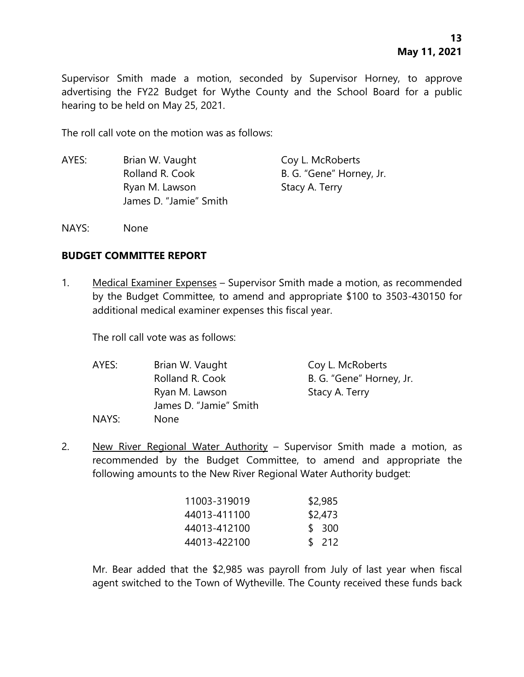Supervisor Smith made a motion, seconded by Supervisor Horney, to approve advertising the FY22 Budget for Wythe County and the School Board for a public hearing to be held on May 25, 2021.

The roll call vote on the motion was as follows:

- AYES: Brian W. Vaught Coy L. McRoberts Rolland R. Cook B. G. "Gene" Horney, Jr. Ryan M. Lawson Stacy A. Terry James D. "Jamie" Smith
- NAYS: None

#### **BUDGET COMMITTEE REPORT**

1. Medical Examiner Expenses – Supervisor Smith made a motion, as recommended by the Budget Committee, to amend and appropriate \$100 to 3503-430150 for additional medical examiner expenses this fiscal year.

The roll call vote was as follows:

| AYES: | Brian W. Vaught        | Coy L. McRoberts         |
|-------|------------------------|--------------------------|
|       | Rolland R. Cook        | B. G. "Gene" Horney, Jr. |
|       | Ryan M. Lawson         | Stacy A. Terry           |
|       | James D. "Jamie" Smith |                          |
| NAYS: | None                   |                          |

2. New River Regional Water Authority – Supervisor Smith made a motion, as recommended by the Budget Committee, to amend and appropriate the following amounts to the New River Regional Water Authority budget:

| 11003-319019 | \$2,985 |
|--------------|---------|
| 44013-411100 | \$2,473 |
| 44013-412100 | \$ 300  |
| 44013-422100 | \$212   |

Mr. Bear added that the \$2,985 was payroll from July of last year when fiscal agent switched to the Town of Wytheville. The County received these funds back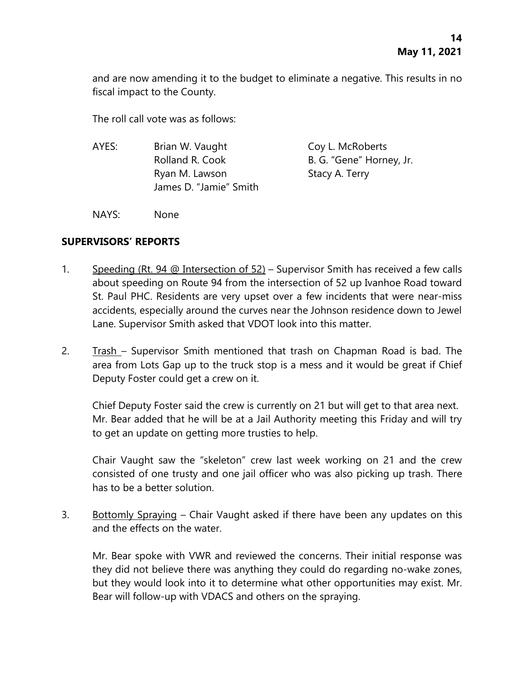and are now amending it to the budget to eliminate a negative. This results in no fiscal impact to the County.

The roll call vote was as follows:

| AYES: | Brian W. Vaught        | Coy L. McRoberts         |
|-------|------------------------|--------------------------|
|       | Rolland R. Cook        | B. G. "Gene" Horney, Jr. |
|       | Ryan M. Lawson         | Stacy A. Terry           |
|       | James D. "Jamie" Smith |                          |
|       |                        |                          |

NAYS: None

# **SUPERVISORS' REPORTS**

- 1. Speeding (Rt. 94 @ Intersection of 52) Supervisor Smith has received a few calls about speeding on Route 94 from the intersection of 52 up Ivanhoe Road toward St. Paul PHC. Residents are very upset over a few incidents that were near-miss accidents, especially around the curves near the Johnson residence down to Jewel Lane. Supervisor Smith asked that VDOT look into this matter.
- 2. Trash Supervisor Smith mentioned that trash on Chapman Road is bad. The area from Lots Gap up to the truck stop is a mess and it would be great if Chief Deputy Foster could get a crew on it.

Chief Deputy Foster said the crew is currently on 21 but will get to that area next. Mr. Bear added that he will be at a Jail Authority meeting this Friday and will try to get an update on getting more trusties to help.

Chair Vaught saw the "skeleton" crew last week working on 21 and the crew consisted of one trusty and one jail officer who was also picking up trash. There has to be a better solution.

3. Bottomly Spraying – Chair Vaught asked if there have been any updates on this and the effects on the water.

Mr. Bear spoke with VWR and reviewed the concerns. Their initial response was they did not believe there was anything they could do regarding no-wake zones, but they would look into it to determine what other opportunities may exist. Mr. Bear will follow-up with VDACS and others on the spraying.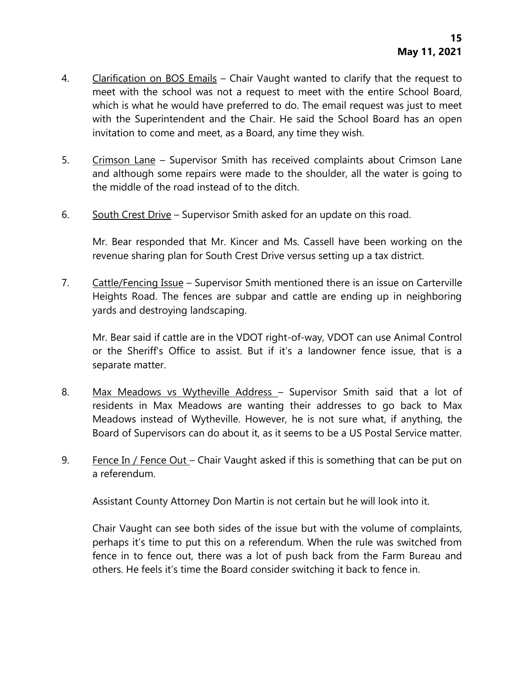- 4. Clarification on BOS Emails Chair Vaught wanted to clarify that the request to meet with the school was not a request to meet with the entire School Board, which is what he would have preferred to do. The email request was just to meet with the Superintendent and the Chair. He said the School Board has an open invitation to come and meet, as a Board, any time they wish.
- 5. Crimson Lane Supervisor Smith has received complaints about Crimson Lane and although some repairs were made to the shoulder, all the water is going to the middle of the road instead of to the ditch.
- 6. South Crest Drive Supervisor Smith asked for an update on this road.

Mr. Bear responded that Mr. Kincer and Ms. Cassell have been working on the revenue sharing plan for South Crest Drive versus setting up a tax district.

7. Cattle/Fencing Issue – Supervisor Smith mentioned there is an issue on Carterville Heights Road. The fences are subpar and cattle are ending up in neighboring yards and destroying landscaping.

Mr. Bear said if cattle are in the VDOT right-of-way, VDOT can use Animal Control or the Sheriff's Office to assist. But if it's a landowner fence issue, that is a separate matter.

- 8. Max Meadows vs Wytheville Address Supervisor Smith said that a lot of residents in Max Meadows are wanting their addresses to go back to Max Meadows instead of Wytheville. However, he is not sure what, if anything, the Board of Supervisors can do about it, as it seems to be a US Postal Service matter.
- 9. Fence In / Fence Out Chair Vaught asked if this is something that can be put on a referendum.

Assistant County Attorney Don Martin is not certain but he will look into it.

Chair Vaught can see both sides of the issue but with the volume of complaints, perhaps it's time to put this on a referendum. When the rule was switched from fence in to fence out, there was a lot of push back from the Farm Bureau and others. He feels it's time the Board consider switching it back to fence in.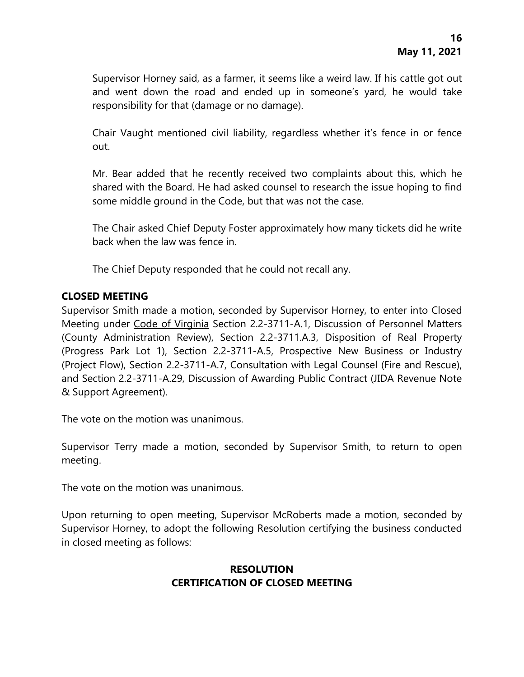Supervisor Horney said, as a farmer, it seems like a weird law. If his cattle got out and went down the road and ended up in someone's yard, he would take responsibility for that (damage or no damage).

Chair Vaught mentioned civil liability, regardless whether it's fence in or fence out.

Mr. Bear added that he recently received two complaints about this, which he shared with the Board. He had asked counsel to research the issue hoping to find some middle ground in the Code, but that was not the case.

The Chair asked Chief Deputy Foster approximately how many tickets did he write back when the law was fence in.

The Chief Deputy responded that he could not recall any.

# **CLOSED MEETING**

Supervisor Smith made a motion, seconded by Supervisor Horney, to enter into Closed Meeting under Code of Virginia Section 2.2-3711-A.1, Discussion of Personnel Matters (County Administration Review), Section 2.2-3711.A.3, Disposition of Real Property (Progress Park Lot 1), Section 2.2-3711-A.5, Prospective New Business or Industry (Project Flow), Section 2.2-3711-A.7, Consultation with Legal Counsel (Fire and Rescue), and Section 2.2-3711-A.29, Discussion of Awarding Public Contract (JIDA Revenue Note & Support Agreement).

The vote on the motion was unanimous.

Supervisor Terry made a motion, seconded by Supervisor Smith, to return to open meeting.

The vote on the motion was unanimous.

Upon returning to open meeting, Supervisor McRoberts made a motion, seconded by Supervisor Horney, to adopt the following Resolution certifying the business conducted in closed meeting as follows:

# **RESOLUTION CERTIFICATION OF CLOSED MEETING**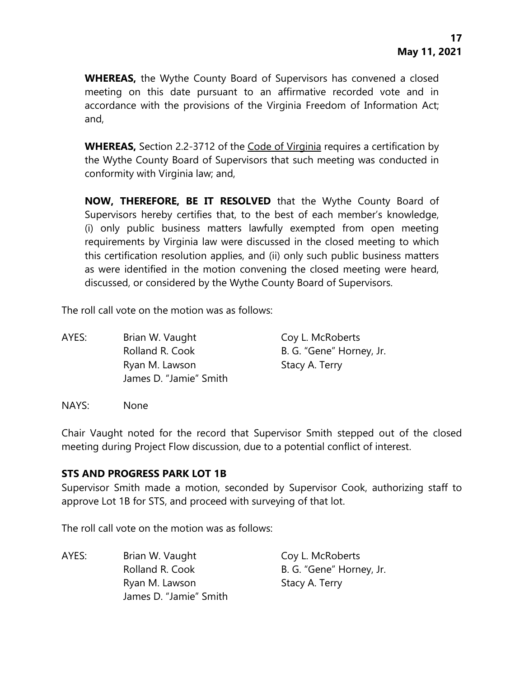**WHEREAS,** the Wythe County Board of Supervisors has convened a closed meeting on this date pursuant to an affirmative recorded vote and in accordance with the provisions of the Virginia Freedom of Information Act; and,

**WHEREAS,** Section 2.2-3712 of the Code of Virginia requires a certification by the Wythe County Board of Supervisors that such meeting was conducted in conformity with Virginia law; and,

**NOW, THEREFORE, BE IT RESOLVED** that the Wythe County Board of Supervisors hereby certifies that, to the best of each member's knowledge, (i) only public business matters lawfully exempted from open meeting requirements by Virginia law were discussed in the closed meeting to which this certification resolution applies, and (ii) only such public business matters as were identified in the motion convening the closed meeting were heard, discussed, or considered by the Wythe County Board of Supervisors.

The roll call vote on the motion was as follows:

AYES: Brian W. Vaught Coy L. McRoberts Rolland R. Cook B. G. "Gene" Horney, Jr. Ryan M. Lawson Stacy A. Terry James D. "Jamie" Smith

NAYS: None

Chair Vaught noted for the record that Supervisor Smith stepped out of the closed meeting during Project Flow discussion, due to a potential conflict of interest.

#### **STS AND PROGRESS PARK LOT 1B**

Supervisor Smith made a motion, seconded by Supervisor Cook, authorizing staff to approve Lot 1B for STS, and proceed with surveying of that lot.

The roll call vote on the motion was as follows:

AYES: Brian W. Vaught Coy L. McRoberts Rolland R. Cook B. G. "Gene" Horney, Jr. Ryan M. Lawson Stacy A. Terry James D. "Jamie" Smith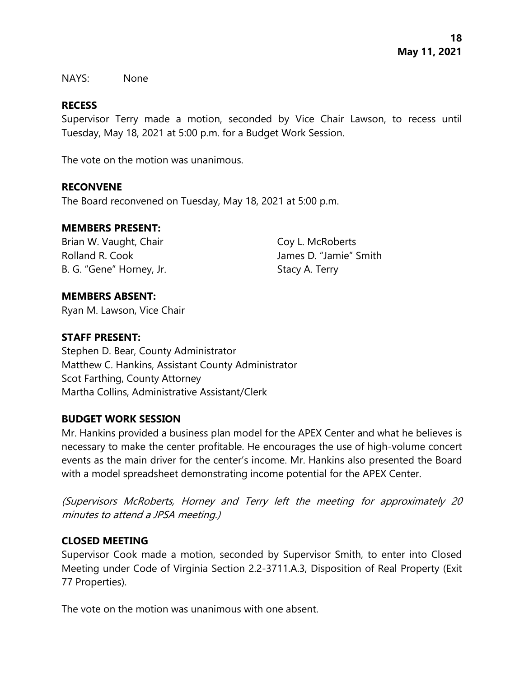NAYS: None

# **RECESS**

Supervisor Terry made a motion, seconded by Vice Chair Lawson, to recess until Tuesday, May 18, 2021 at 5:00 p.m. for a Budget Work Session.

The vote on the motion was unanimous.

#### **RECONVENE**

The Board reconvened on Tuesday, May 18, 2021 at 5:00 p.m.

#### **MEMBERS PRESENT:**

Brian W. Vaught, Chair Coy L. McRoberts Rolland R. Cook James D. "Jamie" Smith B. G. "Gene" Horney, Jr. Stacy A. Terry

#### **MEMBERS ABSENT:**

Ryan M. Lawson, Vice Chair

# **STAFF PRESENT:**

Stephen D. Bear, County Administrator Matthew C. Hankins, Assistant County Administrator Scot Farthing, County Attorney Martha Collins, Administrative Assistant/Clerk

#### **BUDGET WORK SESSION**

Mr. Hankins provided a business plan model for the APEX Center and what he believes is necessary to make the center profitable. He encourages the use of high-volume concert events as the main driver for the center's income. Mr. Hankins also presented the Board with a model spreadsheet demonstrating income potential for the APEX Center.

(Supervisors McRoberts, Horney and Terry left the meeting for approximately 20 minutes to attend a JPSA meeting.)

# **CLOSED MEETING**

Supervisor Cook made a motion, seconded by Supervisor Smith, to enter into Closed Meeting under Code of Virginia Section 2.2-3711.A.3, Disposition of Real Property (Exit 77 Properties).

The vote on the motion was unanimous with one absent.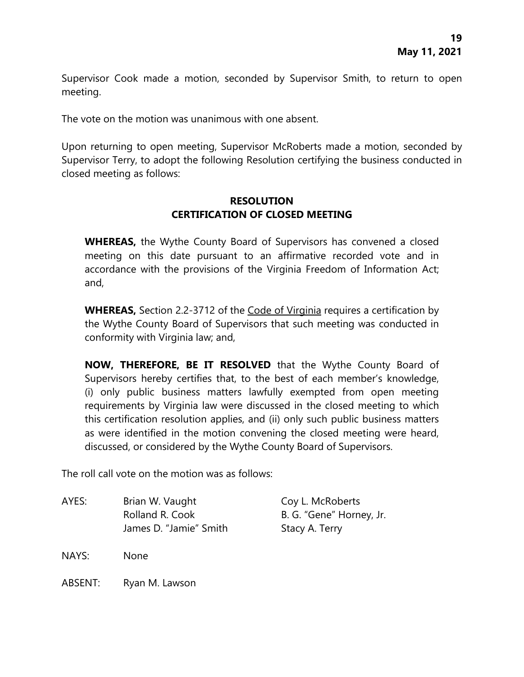Supervisor Cook made a motion, seconded by Supervisor Smith, to return to open meeting.

The vote on the motion was unanimous with one absent.

Upon returning to open meeting, Supervisor McRoberts made a motion, seconded by Supervisor Terry, to adopt the following Resolution certifying the business conducted in closed meeting as follows:

### **RESOLUTION CERTIFICATION OF CLOSED MEETING**

**WHEREAS,** the Wythe County Board of Supervisors has convened a closed meeting on this date pursuant to an affirmative recorded vote and in accordance with the provisions of the Virginia Freedom of Information Act; and,

**WHEREAS,** Section 2.2-3712 of the Code of Virginia requires a certification by the Wythe County Board of Supervisors that such meeting was conducted in conformity with Virginia law; and,

**NOW, THEREFORE, BE IT RESOLVED** that the Wythe County Board of Supervisors hereby certifies that, to the best of each member's knowledge, (i) only public business matters lawfully exempted from open meeting requirements by Virginia law were discussed in the closed meeting to which this certification resolution applies, and (ii) only such public business matters as were identified in the motion convening the closed meeting were heard, discussed, or considered by the Wythe County Board of Supervisors.

The roll call vote on the motion was as follows:

AYES: Brian W. Vaught Coy L. McRoberts Rolland R. Cook B. G. "Gene" Horney, Jr. James D. "Jamie" Smith Stacy A. Terry

NAYS: None

ABSENT: Ryan M. Lawson